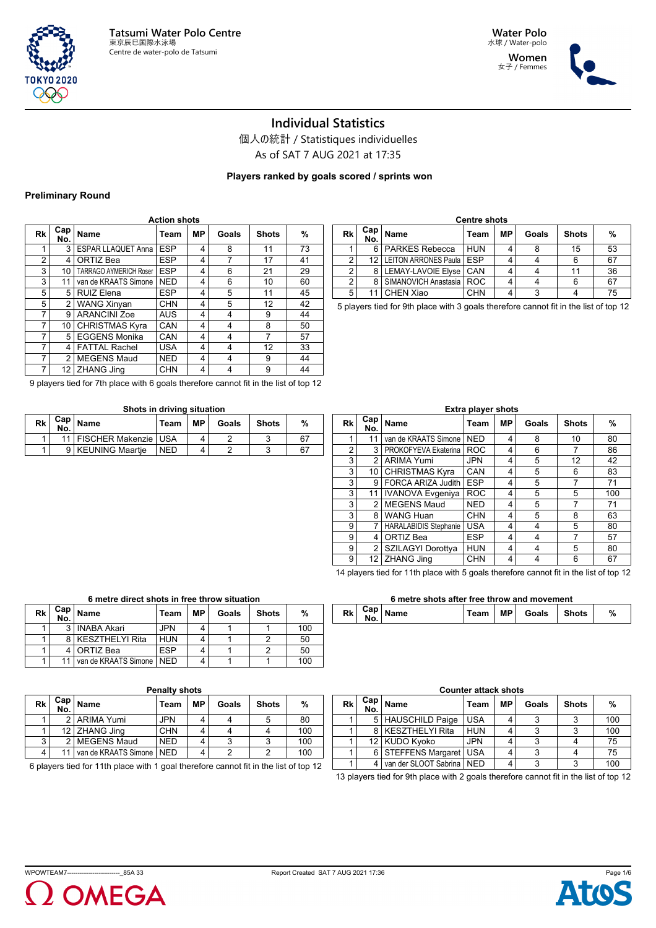



女子 / Femmes



### **Individual Statistics**

個人の統計 / Statistiques individuelles

As of SAT 7 AUG 2021 at 17:35

**Players ranked by goals scored / sprints won**

#### **Preliminary Round**

| Rk             | Cap I<br>No.   | <b>Name</b>                   | Team       | <b>MP</b> | Goals | <b>Shots</b> | %  |
|----------------|----------------|-------------------------------|------------|-----------|-------|--------------|----|
| 1              | 3              | <b>ESPAR LLAQUET Anna</b>     | <b>ESP</b> | 4         | 8     | 11           | 73 |
| $\overline{2}$ | 4              | ORTIZ Bea                     | <b>ESP</b> | 4         | 7     | 17           | 41 |
| 3              | 10             | <b>TARRAGO AYMERICH Roser</b> | <b>ESP</b> | 4         | 6     | 21           | 29 |
| 3              | 11             | van de KRAATS Simone          | <b>NED</b> | 4         | 6     | 10           | 60 |
| 5              | 5              | <b>RUIZ Elena</b>             | <b>ESP</b> | 4         | 5     | 11           | 45 |
| 5              | $\overline{2}$ | <b>WANG Xinyan</b>            | <b>CHN</b> | 4         | 5     | 12           | 42 |
| 7              | 9              | <b>ARANCINI Zoe</b>           | <b>AUS</b> | 4         | 4     | 9            | 44 |
| 7              | 10             | <b>CHRISTMAS Kyra</b>         | CAN        | 4         | 4     | 8            | 50 |
| 7              | 5              | <b>EGGENS Monika</b>          | CAN        | 4         | 4     |              | 57 |
| $\overline{7}$ | 4              | <b>FATTAL Rachel</b>          | <b>USA</b> | 4         | 4     | 12           | 33 |
| $\overline{7}$ | $\mathfrak{p}$ | <b>MEGENS Maud</b>            | <b>NED</b> | 4         | 4     | 9            | 44 |
| 7              | 12             | <b>ZHANG Jing</b>             | <b>CHN</b> | 4         | 4     | 9            | 44 |

|    | <b>Centre shots</b> |                            |            |    |       |              |    |  |  |  |  |  |  |
|----|---------------------|----------------------------|------------|----|-------|--------------|----|--|--|--|--|--|--|
| Rk | Cap  <br>No.        | <b>Name</b>                | Team       | МP | Goals | <b>Shots</b> | %  |  |  |  |  |  |  |
|    | 6                   | <b>PARKES Rebecca</b>      | <b>HUN</b> |    |       | 15           | 53 |  |  |  |  |  |  |
| 2  | 12 <sub>1</sub>     | LEITON ARRONES Paula   ESP |            |    |       | 6            | 67 |  |  |  |  |  |  |
| 2  | 8                   | LEMAY-LAVOIE Elyse   CAN   |            |    |       | 11           | 36 |  |  |  |  |  |  |
| 2  | 8                   | SIMANOVICH Anastasia   ROC |            |    |       |              | 67 |  |  |  |  |  |  |
| 5  |                     | <b>CHEN Xiao</b>           | <b>CHN</b> |    |       |              | 75 |  |  |  |  |  |  |

5 players tied for 9th place with 3 goals therefore cannot fit in the list of top 12

| 9 players tied for 7th place with 6 goals therefore cannot fit in the list of top 12 |  |
|--------------------------------------------------------------------------------------|--|
|--------------------------------------------------------------------------------------|--|

#### **Shots in driving situation**

| Rk | Cap i<br>No. | Name                        | Team       | МP | Goals | <b>Shots</b> | %   |
|----|--------------|-----------------------------|------------|----|-------|--------------|-----|
|    |              | 11   FISCHER Makenzie   USA |            |    |       |              | -67 |
|    |              | 9   KEUNING Maartie         | <b>NED</b> |    |       |              | 67  |

|    |                |                              | Extra player shots |    |       |              |     |
|----|----------------|------------------------------|--------------------|----|-------|--------------|-----|
| Rk | Cap!<br>No.    | Name                         | Team               | MР | Goals | <b>Shots</b> | %   |
| 1  | 11             | van de KRAATS Simone         | <b>NED</b>         | 4  | 8     | 10           | 80  |
| 2  | 3              | PROKOFYEVA Ekaterina         | <b>ROC</b>         | 4  | 6     |              | 86  |
| 3  | $\mathfrak{p}$ | <b>ARIMA Yumi</b>            | <b>JPN</b>         | 4  | 5     | 12           | 42  |
| 3  | 10             | <b>CHRISTMAS Kyra</b>        | CAN                | 4  | 5     | 6            | 83  |
| 3  | 9              | <b>FORCA ARIZA Judith</b>    | <b>ESP</b>         | 4  | 5     |              | 71  |
| 3  | 11             | IVANOVA Evgeniya             | <b>ROC</b>         | 4  | 5     | 5            | 100 |
| 3  | $\mathfrak{p}$ | <b>MEGENS Maud</b>           | <b>NED</b>         | 4  | 5     |              | 71  |
| 3  | 8              | <b>WANG Huan</b>             | <b>CHN</b>         | 4  | 5     | 8            | 63  |
| 9  | 7              | <b>HARALABIDIS Stephanie</b> | <b>USA</b>         | 4  | 4     | 5            | 80  |
| 9  | 4              | ORTIZ Bea                    | <b>ESP</b>         | 4  | 4     |              | 57  |
| 9  | $\overline{2}$ | SZILAGYI Dorottya            | <b>HUN</b>         | 4  | 4     | 5            | 80  |
| 9  | 12             | <b>ZHANG Jing</b>            | <b>CHN</b>         | 4  | 4     | 6            | 67  |

14 players tied for 11th place with 5 goals therefore cannot fit in the list of top 12

#### **6 metre shots after free throw and movement**

| IVU. | $\sim$ $\sim$<br>Goals<br><b>Shots</b><br>MP<br>DЬ<br>%<br>™eam<br>ame<br>nn : |  |
|------|--------------------------------------------------------------------------------|--|
|------|--------------------------------------------------------------------------------|--|

| Rk | Cap  <br>No. | <b>Name</b>                | Team       | МP | Goals | <b>Shots</b> | $\frac{0}{0}$ |  |  |  |
|----|--------------|----------------------------|------------|----|-------|--------------|---------------|--|--|--|
|    | વ            | <b>INABA Akari</b>         | JPN        |    |       |              | 100           |  |  |  |
|    |              | <b>KESZTHELYI Rita</b>     | <b>HUN</b> |    |       |              | 50            |  |  |  |
|    |              | ORTIZ Bea                  | <b>ESP</b> |    |       |              | 50            |  |  |  |
|    |              | van de KRAATS Simone   NED |            |    |       |              | 100           |  |  |  |
|    |              |                            |            |    |       |              |               |  |  |  |

**6 metre direct shots in free throw situation**

| Rk | Cap  <br>No. | Name                       | Team       | МP | Goals | <b>Shots</b> | %   |
|----|--------------|----------------------------|------------|----|-------|--------------|-----|
|    |              | 2   ARIMA Yumi             | <b>JPN</b> | 4  |       | 5            | 80  |
|    |              | 12 ZHANG Jing              | <b>CHN</b> |    |       |              | 100 |
| 3  | 21           | <b>MEGENS Maud</b>         | <b>NED</b> | 4  |       | 3            | 100 |
| 4  |              | van de KRAATS Simone   NED |            |    |       |              | 100 |

6 players tied for 11th place with 1 goal therefore cannot fit in the list of top 12

# **Counter attack shots No. Name Team MP Goals Shots %**

|  | 5   HAUSCHILD Paige   USA     |            |   |  | 100 |
|--|-------------------------------|------------|---|--|-----|
|  | 8 KESZTHELYI Rita             | <b>HUN</b> |   |  | 100 |
|  | 12 KUDO Kvoko                 | <b>JPN</b> |   |  | 75  |
|  | 6   STEFFENS Margaret   USA   |            | Δ |  | 75  |
|  | I van der SLOOT Sabrina   NED |            |   |  | 10C |

13 players tied for 9th place with 2 goals therefore cannot fit in the list of top 12



**Rk Cap**

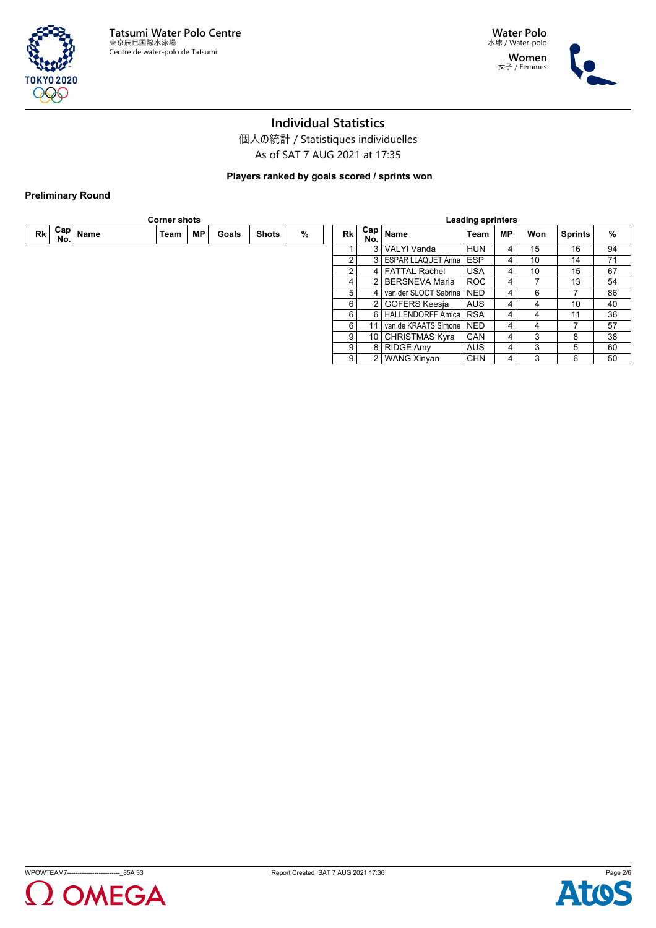

**Water Polo** 水球 / Water-polo **Women** 女子 / Femmes



## **Individual Statistics**

個人の統計 / Statistiques individuelles As of SAT 7 AUG 2021 at 17:35

**Players ranked by goals scored / sprints won**

### **Preliminary Round**

|    |                   |      | <b>Corner shots</b> |    |       |              |   | <b>Leading sprinters</b> |                                 |                               |            |           |     |                |    |
|----|-------------------|------|---------------------|----|-------|--------------|---|--------------------------|---------------------------------|-------------------------------|------------|-----------|-----|----------------|----|
| Rk | $Cap \mid$<br>No. | Name | Team                | МP | Goals | <b>Shots</b> | % | Rk                       | . ⊢Cap   <sub>Name</sub><br>No. |                               | Team       | <b>MP</b> | Won | <b>Sprints</b> | %  |
|    |                   |      |                     |    |       |              |   |                          |                                 | 3   VALYI Vanda               | <b>HUN</b> | 4         | 15  | 16             | 94 |
|    |                   |      |                     |    |       |              |   | $\overline{2}$           |                                 | 3   ESPAR LLAQUET Anna        | <b>ESP</b> | 4         | 10  | 14             | 71 |
|    |                   |      |                     |    |       |              |   | 2                        |                                 | 4 FATTAL Rachel               | <b>USA</b> | $\vert$ 4 | 10  | 15             | 67 |
|    |                   |      |                     |    |       |              |   | 4                        |                                 | 2   BERSNEVA Maria            | ROC        | 4         |     | 13             | 54 |
|    |                   |      |                     |    |       |              |   | 5                        |                                 | van der SLOOT Sabrina   NED_  |            | 4         | 6   | $\overline{ }$ | 86 |
|    |                   |      |                     |    |       |              |   | 6                        | 2 <sub>1</sub>                  | GOFERS Keesja                 | <b>AUS</b> | 4         | 4   | 10             | 40 |
|    |                   |      |                     |    |       |              |   | 6                        |                                 | 6   HALLENDORFF Amica   RSA   |            | 4         | 4   | 11             | 36 |
|    |                   |      |                     |    |       |              |   | $6 \mid$                 | 11                              | l van de KRAATS Simone I NED- |            | 4         | 4   |                | 57 |
|    |                   |      |                     |    |       |              |   | 9                        |                                 | 10   CHRISTMAS Kyra           | <b>CAN</b> | 4         | 3   | 8              | 38 |
|    |                   |      |                     |    |       |              |   | 9                        |                                 | 8 RIDGE Amy                   | <b>AUS</b> | 4         | 3   | 5              | 60 |
|    |                   |      |                     |    |       |              |   | 9                        |                                 | 2   WANG Xinyan               | <b>CHN</b> | 4         | 3   | 6              | 50 |
|    |                   |      |                     |    |       |              |   |                          |                                 |                               |            |           |     |                |    |



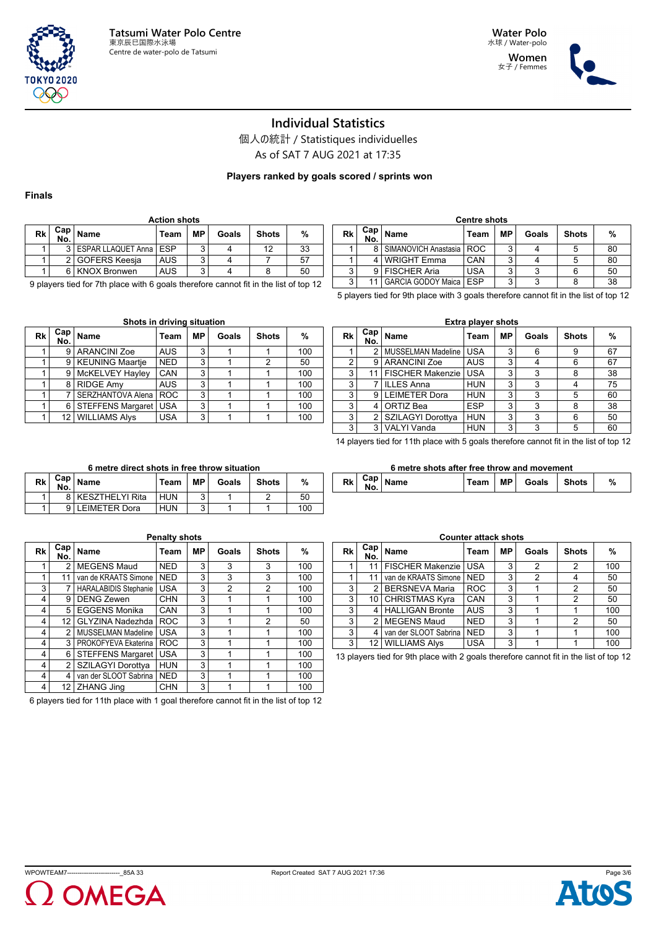

**Women** 女子 / Femmes



## **Individual Statistics**

個人の統計 / Statistiques individuelles

As of SAT 7 AUG 2021 at 17:35

**Players ranked by goals scored / sprints won**

#### **Finals**

**Rk Cap**

|    | <b>Action shots</b> |                              |            |    |       |              |    |  |  |  |  |  |  |
|----|---------------------|------------------------------|------------|----|-------|--------------|----|--|--|--|--|--|--|
| Rk | Cap  <br>No.        | Name                         | Team       | МP | Goals | <b>Shots</b> | %  |  |  |  |  |  |  |
|    |                     | 3   ESPAR LLAQUET Anna   ESP |            | ົ  |       | 12           | 33 |  |  |  |  |  |  |
|    |                     | 2   GOFERS Keesja            | <b>AUS</b> | ີ  |       |              | 57 |  |  |  |  |  |  |
|    | ี                   | <b>KNOX Bronwen</b>          | <b>AUS</b> | ົ  |       |              | 50 |  |  |  |  |  |  |

|      | <b>Centre shots</b> |                                 |       |        |       |              |    |  |  |  |  |  |  |
|------|---------------------|---------------------------------|-------|--------|-------|--------------|----|--|--|--|--|--|--|
| Rk l | $Cap \mid$<br>No.   | Name                            | Team  | MР     | Goals | <b>Shots</b> | %  |  |  |  |  |  |  |
|      | 8                   | SIMANOVICH Anastasia            | I ROC | 3      |       |              | 80 |  |  |  |  |  |  |
|      |                     | <b>WRIGHT Emma</b>              | CAN   | ົ      |       |              | 80 |  |  |  |  |  |  |
| 3    |                     | <b>FISCHER Aria</b>             | USA   | ≏      |       |              | 50 |  |  |  |  |  |  |
| 3    |                     | <b>GARCIA GODOY Maica   ESP</b> |       | ົ<br>c | 2     |              | 38 |  |  |  |  |  |  |
|      |                     |                                 |       |        |       |              |    |  |  |  |  |  |  |

9 players tied for 7th place with 6 goals therefore cannot fit in the list of top 12

**Shots in driving situation**

5 players tied for 9th place with 3 goals therefore cannot fit in the list of top 12

|      | onots in unving situation |                         |            |    |       |              |     |    |  |  |  |  |  |  |
|------|---------------------------|-------------------------|------------|----|-------|--------------|-----|----|--|--|--|--|--|--|
| Rk l | Cap  <br>No.              | ∣ Name                  | Team       | ΜP | Goals | <b>Shots</b> | %   | RI |  |  |  |  |  |  |
|      | 9                         | <b>ARANCINI Zoe</b>     | <b>AUS</b> | 3  |       |              | 100 |    |  |  |  |  |  |  |
|      |                           | 9   KEUNING Maartje     | <b>NED</b> | 3  |       | 2            | 50  |    |  |  |  |  |  |  |
|      | 9 I                       | McKELVEY Hayley         | CAN        | 3  |       |              | 100 |    |  |  |  |  |  |  |
|      | 81                        | <b>RIDGE Amy</b>        | <b>AUS</b> | 3  |       |              | 100 |    |  |  |  |  |  |  |
|      |                           | SERZHANTOVA Alena   ROC |            | 3  |       |              | 100 |    |  |  |  |  |  |  |
|      | 6 I                       | STEFFENS Margaret       | <b>USA</b> | 3  |       |              | 100 |    |  |  |  |  |  |  |
|      |                           | 12   WILLIAMS Alys      | <b>USA</b> | 3  |       |              | 100 |    |  |  |  |  |  |  |

|    | <b>Extra player shots</b> |                         |            |    |       |              |    |  |  |  |  |  |  |  |
|----|---------------------------|-------------------------|------------|----|-------|--------------|----|--|--|--|--|--|--|--|
| Rk | Cap <sub>1</sub><br>No.   | <b>Name</b>             | Team       | МP | Goals | <b>Shots</b> | %  |  |  |  |  |  |  |  |
|    | 2                         | MUSSELMAN Madeline      | <b>USA</b> | 3  | 6     | 9            | 67 |  |  |  |  |  |  |  |
| 2  | 9                         | <b>ARANCINI Zoe</b>     | <b>AUS</b> | 3  |       | 6            | 67 |  |  |  |  |  |  |  |
| 3  | 11                        | <b>FISCHER Makenzie</b> | <b>USA</b> | 3  | 3     | 8            | 38 |  |  |  |  |  |  |  |
| 3  |                           | <b>ILLES Anna</b>       | <b>HUN</b> | 3  | 3     | 4            | 75 |  |  |  |  |  |  |  |
| 3  | 9                         | <b>LEIMETER Dora</b>    | <b>HUN</b> | 3  | 3     | 5            | 60 |  |  |  |  |  |  |  |
| 3  | 4                         | ORTIZ Bea               | <b>ESP</b> | 3  | 3     | 8            | 38 |  |  |  |  |  |  |  |
| 3  | 2                         | SZILAGYI Dorottya       | <b>HUN</b> | 3  | 3     | 6            | 50 |  |  |  |  |  |  |  |
| 3  | 3                         | <b>VALYI Vanda</b>      | <b>HUN</b> | 3  | 3     | 5            | 60 |  |  |  |  |  |  |  |

14 players tied for 11th place with 5 goals therefore cannot fit in the list of top 12

|    | 6 metre direct shots in free throw situation |                   |            |    |       |              |     |  |  |  |  |  |  |  |
|----|----------------------------------------------|-------------------|------------|----|-------|--------------|-----|--|--|--|--|--|--|--|
| Rk | Can<br>No.                                   | Name              | Team       | МP | Goals | <b>Shots</b> | %   |  |  |  |  |  |  |  |
|    |                                              | 8 KESZTHELYI Rita | i hun      |    |       |              | 50  |  |  |  |  |  |  |  |
|    |                                              | I FIMETER Dora    | <b>HUN</b> | 2  |       |              | 100 |  |  |  |  |  |  |  |

**Penalty shots**

**No. Name Team MP Goals Shots %** 1 2 MEGENS Maud NED 3 3 3 3 100 1 | 11 | van de KRAATS Simone | NED | 3 | 3 | 3 | 100 3 7 HARALABIDIS Stephanie USA 3 2 2 2 100 4 9 DENG Zewen CHN 3 1 1 1 100 4 5 EGGENS Monika CAN 3 1 1 1 100 4 12 GLYZINA Nadezhda ROC 3 1 2 50 4 2 MUSSELMAN Madeline USA 3 1 1 1 100 4 3 PROKOFYEVA Ekaterina ROC 3 1 1 1 100 4 6 STEFFENS Margaret USA 3 1 1 1 100 4 2 SZILAGYI Dorottya HUN 3 1 1 1 100 4 4 van der SLOOT Sabrina NED 3 1 1 1 1 100

| Team       | <b>MP</b> | Goals | <b>Shots</b> | %          |  | <b>Rk</b> | Cap<br>No. | <sup>≀</sup> Name | Team | МP | Goals | <b>Shots</b> | % |
|------------|-----------|-------|--------------|------------|--|-----------|------------|-------------------|------|----|-------|--------------|---|
| <b>HUN</b> |           |       |              | 50         |  |           |            |                   |      |    |       |              |   |
| <b>LUB</b> |           |       |              | $\sqrt{2}$ |  |           |            |                   |      |    |       |              |   |

| <b>Counter attack shots</b> |                   |                         |            |    |       |              |     |  |  |  |  |  |  |
|-----------------------------|-------------------|-------------------------|------------|----|-------|--------------|-----|--|--|--|--|--|--|
| Rk                          | $Cap \mid$<br>No. | <b>Name</b>             | Team       | MР | Goals | <b>Shots</b> | %   |  |  |  |  |  |  |
|                             | 11                | <b>FISCHER Makenzie</b> | <b>USA</b> | 3  | 2     | 2            | 100 |  |  |  |  |  |  |
|                             | 11                | van de KRAATS Simone    | <b>NED</b> | 3  | 2     |              | 50  |  |  |  |  |  |  |
| 3                           | 2                 | <b>BERSNEVA Maria</b>   | <b>ROC</b> | 3  |       | 2            | 50  |  |  |  |  |  |  |
| 3                           | 10                | <b>CHRISTMAS Kyra</b>   | CAN        | 3  |       | 2            | 50  |  |  |  |  |  |  |
| 3                           |                   | <b>HALLIGAN Bronte</b>  | <b>AUS</b> | 3  |       |              | 100 |  |  |  |  |  |  |
| 3                           | $\mathcal{P}$     | <b>MEGENS Maud</b>      | <b>NED</b> | 3  |       | 2            | 50  |  |  |  |  |  |  |
| 3                           | 4                 | van der SLOOT Sabrina   | <b>NED</b> | 3  |       |              | 100 |  |  |  |  |  |  |
| 3                           | 12                | <b>WILLIAMS Alys</b>    | <b>USA</b> | 3  |       |              | 100 |  |  |  |  |  |  |

13 players tied for 9th place with 2 goals therefore cannot fit in the list of top 12

4 12 ZHANG Jing CHN 3 1 1 1 100 6 players tied for 11th place with 1 goal therefore cannot fit in the list of top 12





# **6 metre shots after free throw and movement**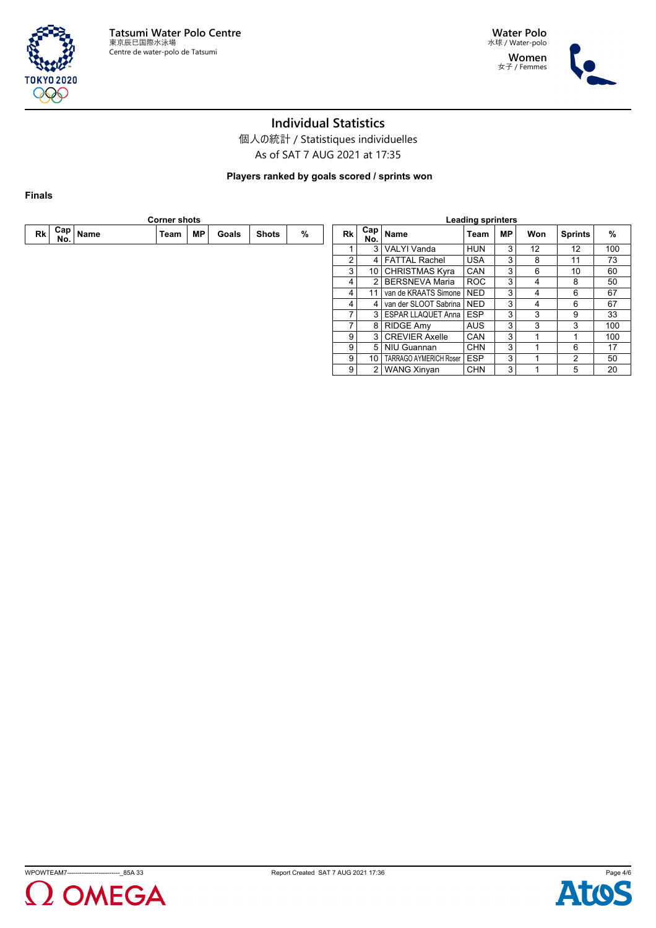

**Water Polo** 水球 / Water-polo **Women** 女子 / Femmes



# **Individual Statistics**

個人の統計 / Statistiques individuelles As of SAT 7 AUG 2021 at 17:35

**Players ranked by goals scored / sprints won**

**Finals**

|      | <b>Corner shots</b> |      |      |    |       |              |   |                | <b>Leading sprinters</b> |                                |            |                |     |                |               |
|------|---------------------|------|------|----|-------|--------------|---|----------------|--------------------------|--------------------------------|------------|----------------|-----|----------------|---------------|
| Rk l | $Cap \mid$<br>No.   | Name | Team | МP | Goals | <b>Shots</b> | % | Rk             | Cap  <br>No.             | Name                           | Team       | <b>MP</b>      | Won | <b>Sprints</b> | $\frac{0}{0}$ |
|      |                     |      |      |    |       |              |   |                |                          | 3   VALYI Vanda                | <b>HUN</b> | 3              | 12  | 12             | 100           |
|      |                     |      |      |    |       |              |   | $\overline{2}$ |                          | 4 FATTAL Rachel                | <b>USA</b> | 3 <sup>1</sup> | 8   | 11             | 73            |
|      |                     |      |      |    |       |              |   | 3              | 10 <sup>1</sup>          | CHRISTMAS Kyra                 | <b>CAN</b> | 3              | 6   | 10             | 60            |
|      |                     |      |      |    |       |              |   | 4              | 21                       | l BERSNEVA Maria               | <b>ROC</b> | 3 <sub>1</sub> | 4   | 8              | 50            |
|      |                     |      |      |    |       |              |   | 4              |                          | l van de KRAATS Simone I NED-  |            | 3              | 4   | 6              | 67            |
|      |                     |      |      |    |       |              |   | 4              | 4                        | l van der SLOOT Sabrina I NED- |            | 3              | 4   | 6              | 67            |
|      |                     |      |      |    |       |              |   |                |                          | 3   ESPAR LLAQUET Anna   ESP   |            | 3              | 3   | 9              | 33            |
|      |                     |      |      |    |       |              |   |                |                          | 8 RIDGE Amy                    | <b>AUS</b> | 3              | 3   | 3              | 100           |
|      |                     |      |      |    |       |              |   | 9              |                          | 3 CREVIER Axelle               | <b>CAN</b> | 3 <sup>1</sup> |     |                | 100           |
|      |                     |      |      |    |       |              |   | 9              |                          | 5   NIU Guannan                | <b>CHN</b> | 3              |     | 6              | 17            |
|      |                     |      |      |    |       |              |   | 9              | 10 <sup>1</sup>          | <b>TARRAGO AYMERICH Roser</b>  | <b>ESP</b> | 3              |     | 2              | 50            |
|      |                     |      |      |    |       |              |   | 9 <sup>°</sup> |                          | 2   WANG Xinyan                | <b>CHN</b> | 3              |     | 5              | 20            |
|      |                     |      |      |    |       |              |   |                |                          |                                |            |                |     |                |               |





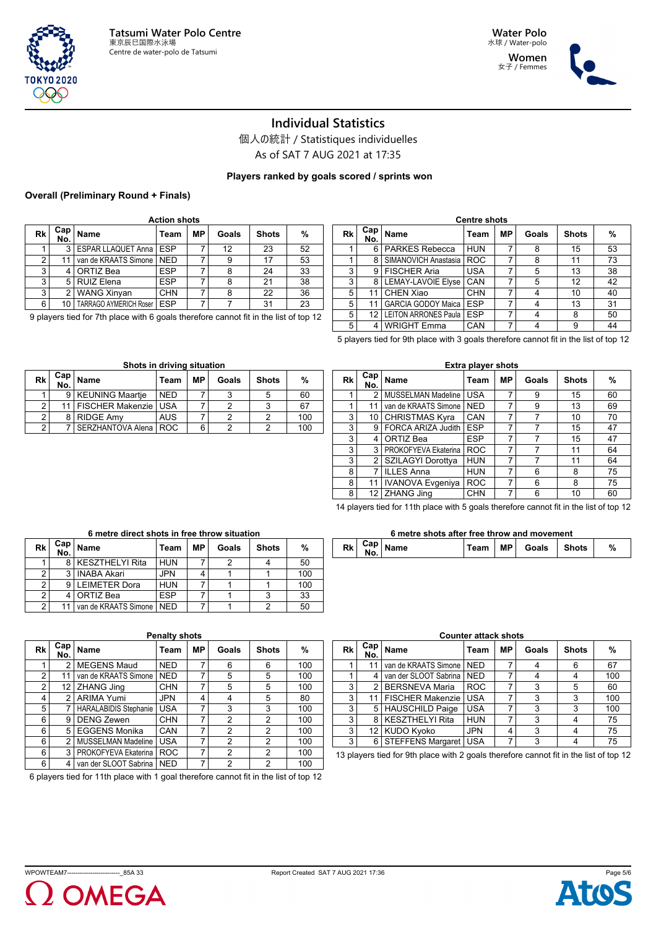



### **Individual Statistics**

個人の統計 / Statistiques individuelles As of SAT 7 AUG 2021 at 17:35

**Players ranked by goals scored / sprints won**

### **Overall (Preliminary Round + Finals)**

| Rk | Cap  <br>No. | <b>Name</b>                   | Team       | МP | Goals | <b>Shots</b> | %  |
|----|--------------|-------------------------------|------------|----|-------|--------------|----|
|    | 3            | ESPAR LLAQUET Anna   ESP      |            |    | 12    | 23           | 52 |
| 2  | 11           | van de KRAATS Simone          | <b>NED</b> |    | 9     | 17           | 53 |
| 3  |              | ORTIZ Bea                     | <b>ESP</b> | 7  | 8     | 24           | 33 |
| 3  | 5            | <b>RUIZ Elena</b>             | <b>ESP</b> |    | 8     | 21           | 38 |
| 3  |              | <b>WANG Xinyan</b>            | <b>CHN</b> | 7  | 8     | 22           | 36 |
| 6  | 10           | <b>TARRAGO AYMERICH Roser</b> | <b>ESP</b> | 7  |       | 31           | 23 |

9 players tied for 7th place with 6 goals therefore cannot fit in the list of top 12

| Rk | Cap ⊧<br>No. | Name                        | Team       | МP | Goals | <b>Shots</b> | %  |
|----|--------------|-----------------------------|------------|----|-------|--------------|----|
|    | 6            | PARKES Rebecca              | <b>HUN</b> |    | 8     | 15           | 53 |
|    | 8            | SIMANOVICH Anastasia        | <b>ROC</b> |    | 8     | 11           | 73 |
| 3  | 9            | <b>FISCHER Aria</b>         | <b>USA</b> |    | 5     | 13           | 38 |
| 3  | 8            | <b>LEMAY-LAVOIE Elyse</b>   | CAN        |    | 5     | 12           | 42 |
| 5  | 11           | <b>CHEN Xiao</b>            | <b>CHN</b> |    |       | 10           | 40 |
| 5  | 11           | <b>GARCIA GODOY Maica</b>   | <b>ESP</b> |    |       | 13           | 31 |
| 5  | 12           | <b>LEITON ARRONES Paula</b> | <b>ESP</b> |    |       | 8            | 50 |
| 5  |              | <b>WRIGHT Emma</b>          | CAN        |    |       | 9            | 44 |

**Centre shots**

5 players tied for 9th place with 3 goals therefore cannot fit in the list of top 12

|    | Shots in driving situation |                             |            |    |       |              |     |  |  |  |  |  |  |  |
|----|----------------------------|-----------------------------|------------|----|-------|--------------|-----|--|--|--|--|--|--|--|
| Rk |                            | $\frac{Cap}{No}$ Name       | Team       | МP | Goals | <b>Shots</b> | %   |  |  |  |  |  |  |  |
|    | 9                          | <b>KEUNING Maartje</b>      | <b>NFD</b> |    |       |              | 60  |  |  |  |  |  |  |  |
| 2  |                            | 11   FISCHER Makenzie   USA |            |    |       |              | 67  |  |  |  |  |  |  |  |
| 2  |                            | <b>RIDGE Amy</b>            | <b>AUS</b> |    |       | ົ            | 100 |  |  |  |  |  |  |  |
| 2  |                            | SERZHANTOVA Alena           | <b>ROC</b> | 6  |       |              | 100 |  |  |  |  |  |  |  |

|                                                                               | <b>Extra player shots</b> |                                |            |    |       |              |    |  |  |  |  |  |  |  |
|-------------------------------------------------------------------------------|---------------------------|--------------------------------|------------|----|-------|--------------|----|--|--|--|--|--|--|--|
| Rk                                                                            | Cap  <br>No.              | Name                           | Team       | МP | Goals | <b>Shots</b> | %  |  |  |  |  |  |  |  |
| 1                                                                             | 2                         | <b>MUSSELMAN Madeline</b>      | <b>USA</b> | 7  | 9     | 15           | 60 |  |  |  |  |  |  |  |
| 1                                                                             | 11                        | van de KRAATS Simone           | <b>NED</b> | 7  | 9     | 13           | 69 |  |  |  |  |  |  |  |
| 3                                                                             | 10                        | <b>CHRISTMAS Kyra</b>          | CAN        | 7  |       | 10           | 70 |  |  |  |  |  |  |  |
| 3                                                                             | 9                         | <b>FORCA ARIZA Judith</b>      | <b>ESP</b> | 7  |       | 15           | 47 |  |  |  |  |  |  |  |
| 3                                                                             | 4                         | ORTIZ Bea                      | <b>ESP</b> | 7  |       | 15           | 47 |  |  |  |  |  |  |  |
| 3                                                                             | 3                         | PROKOFYEVA Ekaterina           | <b>ROC</b> | 7  |       | 11           | 64 |  |  |  |  |  |  |  |
| 3                                                                             | 2                         | SZILAGYI Dorottya              | <b>HUN</b> | 7  |       | 11           | 64 |  |  |  |  |  |  |  |
| 8                                                                             | 7                         | <b>ILLES Anna</b>              | <b>HUN</b> | 7  | 6     | 8            | 75 |  |  |  |  |  |  |  |
| 8                                                                             | 11                        | <b>IVANOVA Evgeniya</b>        | <b>ROC</b> | 7  | 6     | 8            | 75 |  |  |  |  |  |  |  |
| <b>ZHANG Jing</b><br>7<br>8<br>12 <sup>1</sup><br><b>CHN</b><br>6<br>10<br>60 |                           |                                |            |    |       |              |    |  |  |  |  |  |  |  |
|                                                                               |                           | aan witaan with a criminal and |            |    |       |              |    |  |  |  |  |  |  |  |

14 players tied for 11th place with 5 goals therefore cannot fit in the list of top 12

**6 metre shots after free throw and movement**

**No. Name Team MP Goals Shots %**

| Rk | Cap ∣<br>No. | <b>Name</b>           | Team       | МP | Goals | <b>Shots</b> | %   |
|----|--------------|-----------------------|------------|----|-------|--------------|-----|
|    |              | 8 KESZTHELYI Rita     | <b>HUN</b> |    |       |              | 50  |
|    | ર            | <b>INABA Akari</b>    | <b>JPN</b> |    |       |              | 100 |
| 2  |              | <b>I FIMETER Dora</b> | <b>HUN</b> |    |       |              | 100 |
| ◠  |              | ORTIZ Bea             | <b>ESP</b> |    |       |              | 33  |
| ◠  |              | van de KRAATS Simone  | <b>NFD</b> |    |       |              | 50  |

# **6 metre direct shots in free throw situation**

|                |            |                             | <b>Penalty shots</b> |           |       |              |     | <b>Counter attack shots</b> |                   |                                                                                    |            |           |       |       |     |
|----------------|------------|-----------------------------|----------------------|-----------|-------|--------------|-----|-----------------------------|-------------------|------------------------------------------------------------------------------------|------------|-----------|-------|-------|-----|
| \$k            | Cap<br>No. | Name                        | Team                 | <b>MP</b> | Goals | <b>Shots</b> | %   | Rk                          | $Cap \mid$<br>No. | <b>Name</b>                                                                        | Team       | <b>MP</b> | Goals | Shots | %   |
|                |            | l MEGENS Maud               | <b>NED</b>           |           | 6     | 6            | 100 |                             |                   | van de KRAATS Simone   NED                                                         |            |           | 4     | 6     | 67  |
| 2 <sup>2</sup> | 11         | van de KRAATS Simone   NED  |                      |           | 5     | 5            | 100 |                             | 4                 | van der SLOOT Sabrina   NED                                                        |            |           | 4     |       | 100 |
| $\overline{2}$ |            | 12   ZHANG Jing             | <b>CHN</b>           |           | 5     | 5            | 100 | 3                           |                   | BERSNEVA Maria                                                                     | <b>ROC</b> |           | 3     | 5     | 60  |
| $\vert$        |            | l ARIMA Yumi                | JPN                  |           | 4     | 5            | 80  | 3                           | 11                | FISCHER Makenzie   USA                                                             |            |           | 3     | 3     | 100 |
| 5              |            | HARALABIDIS Stephanie   USA |                      |           | 3     | 3            | 100 | 3                           | 5                 | <b>HAUSCHILD Paige</b>                                                             | <b>USA</b> |           | 3     |       | 100 |
| $6 \mid$       |            | 9   DENG Zewen              | <b>CHN</b>           |           | 2     | 2            | 100 | 3                           | 8 <sup>1</sup>    | KESZTHELYI Rita                                                                    | <b>HUN</b> |           |       |       | 75  |
| $6 \mid$       |            | 5 EGGENS Monika             | <b>CAN</b>           |           | 2     | 2            | 100 | 3                           | 12 <sub>1</sub>   | KUDO Kyoko                                                                         | <b>JPN</b> | 4         | 3     |       | 75  |
| $6 \mid$       |            | MUSSELMAN Madeline   USA    |                      |           | 2     | 2            | 100 | 3                           | 6 <sup>1</sup>    | STEFFENS Margaret   USA                                                            |            |           | 3     |       | 75  |
| $6 \mid$       |            | PROKOFYEVA Ekaterina   ROC  |                      |           | 2     | 2            | 100 |                             |                   | 13 players tied for 9th place with 2 goals therefore cannot fit in the list of top |            |           |       |       |     |
| $6 \mid$       |            | van der SLOOT Sabrina   NED |                      |           | っ     | 2            | 100 |                             |                   |                                                                                    |            |           |       |       |     |

**Rk Cap**

6 players tied for 11th place with 1 goal therefore cannot fit in the list of top 12



**Rk Cap**